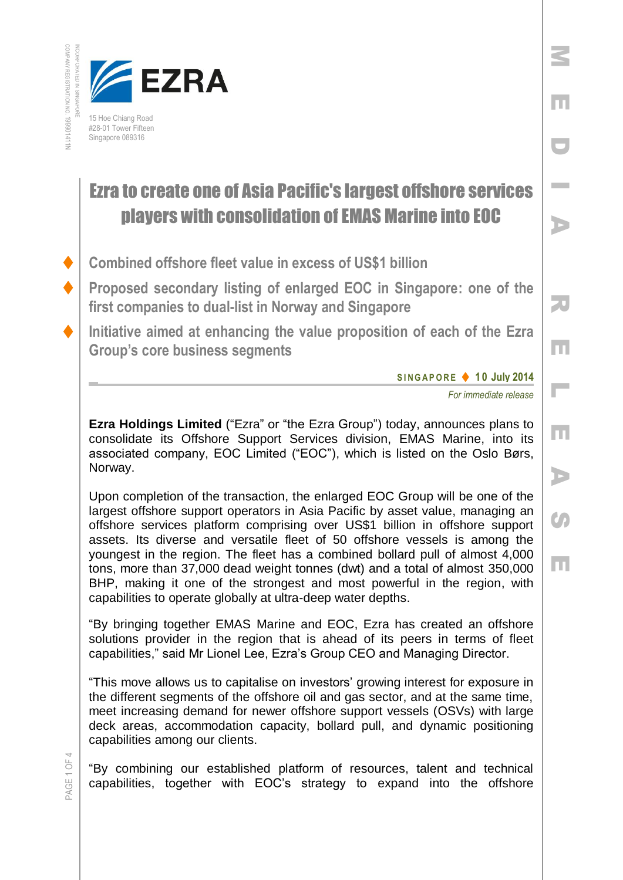



## Ezra to create one of Asia Pacific's largest offshore services players with consolidation of EMAS Marine into EOC

- **Combined offshore fleet value in excess of US\$1 billion**
- **Proposed secondary listing of enlarged EOC in Singapore: one of the first companies to dual-list in Norway and Singapore**
- **Initiative aimed at enhancing the value proposition of each of the Ezra Group's core business segments**

**S I N G A P O R E 1 0 July 2014**

*For immediate release*

M

E

D

I

A

R

E

 $\overline{\phantom{a}}$ 

E

A

Co

E

**Ezra Holdings Limited** ("Ezra" or "the Ezra Group") today, announces plans to consolidate its Offshore Support Services division, EMAS Marine, into its associated company, EOC Limited ("EOC"), which is listed on the Oslo Børs, Norway.

Upon completion of the transaction, the enlarged EOC Group will be one of the largest offshore support operators in Asia Pacific by asset value, managing an offshore services platform comprising over US\$1 billion in offshore support assets. Its diverse and versatile fleet of 50 offshore vessels is among the youngest in the region. The fleet has a combined bollard pull of almost 4,000 tons, more than 37,000 dead weight tonnes (dwt) and a total of almost 350,000 BHP, making it one of the strongest and most powerful in the region, with capabilities to operate globally at ultra-deep water depths.

"By bringing together EMAS Marine and EOC, Ezra has created an offshore solutions provider in the region that is ahead of its peers in terms of fleet capabilities," said Mr Lionel Lee, Ezra's Group CEO and Managing Director.

"This move allows us to capitalise on investors' growing interest for exposure in the different segments of the offshore oil and gas sector, and at the same time, meet increasing demand for newer offshore support vessels (OSVs) with large deck areas, accommodation capacity, bollard pull, and dynamic positioning capabilities among our clients.

"By combining our established platform of resources, talent and technical capabilities, together with EOC's strategy to expand into the offshore

PAGE 1 OF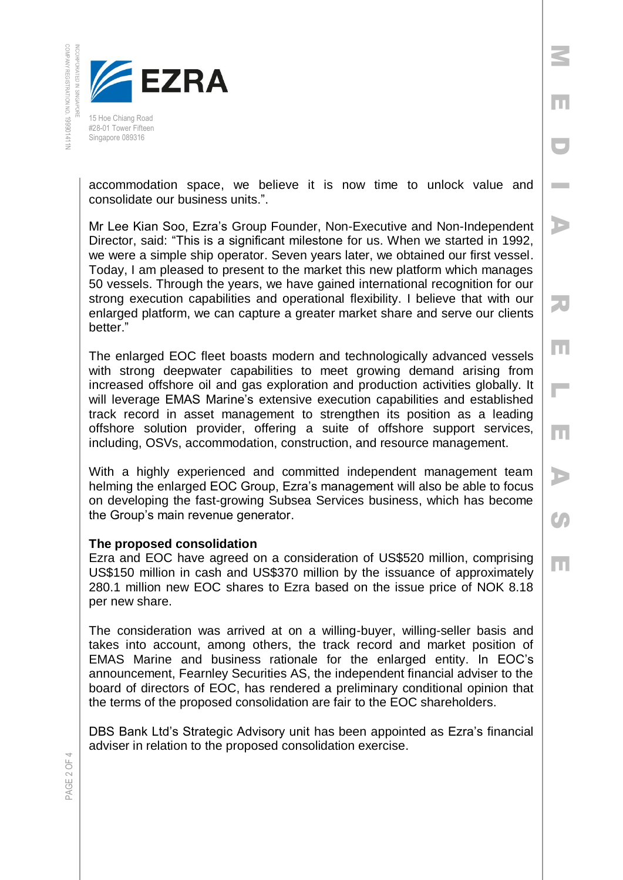

Singapore 089316

accommodation space, we believe it is now time to unlock value and consolidate our business units.".

M

E

D

**Inches** 

A

R

E

 $\Box$ 

E

A

 $\mathcal{C}$ 

E

Mr Lee Kian Soo, Ezra's Group Founder, Non-Executive and Non-Independent Director, said: "This is a significant milestone for us. When we started in 1992, we were a simple ship operator. Seven years later, we obtained our first vessel. Today, I am pleased to present to the market this new platform which manages 50 vessels. Through the years, we have gained international recognition for our strong execution capabilities and operational flexibility. I believe that with our enlarged platform, we can capture a greater market share and serve our clients better."

The enlarged EOC fleet boasts modern and technologically advanced vessels with strong deepwater capabilities to meet growing demand arising from increased offshore oil and gas exploration and production activities globally. It will leverage EMAS Marine's extensive execution capabilities and established track record in asset management to strengthen its position as a leading offshore solution provider, offering a suite of offshore support services, including, OSVs, accommodation, construction, and resource management.

With a highly experienced and committed independent management team helming the enlarged EOC Group, Ezra's management will also be able to focus on developing the fast-growing Subsea Services business, which has become the Group's main revenue generator.

## **The proposed consolidation**

Ezra and EOC have agreed on a consideration of US\$520 million, comprising US\$150 million in cash and US\$370 million by the issuance of approximately 280.1 million new EOC shares to Ezra based on the issue price of NOK 8.18 per new share.

The consideration was arrived at on a willing-buyer, willing-seller basis and takes into account, among others, the track record and market position of EMAS Marine and business rationale for the enlarged entity. In EOC's announcement, Fearnley Securities AS, the independent financial adviser to the board of directors of EOC, has rendered a preliminary conditional opinion that the terms of the proposed consolidation are fair to the EOC shareholders.

DBS Bank Ltd's Strategic Advisory unit has been appointed as Ezra's financial adviser in relation to the proposed consolidation exercise.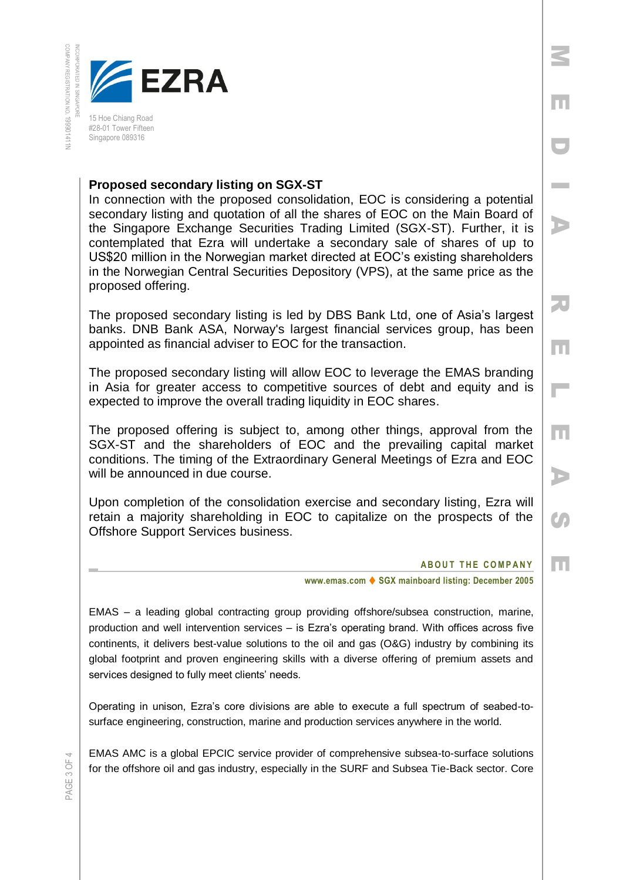

## **Proposed secondary listing on SGX-ST**

In connection with the proposed consolidation, EOC is considering a potential secondary listing and quotation of all the shares of EOC on the Main Board of the Singapore Exchange Securities Trading Limited (SGX-ST). Further, it is contemplated that Ezra will undertake a secondary sale of shares of up to US\$20 million in the Norwegian market directed at EOC's existing shareholders in the Norwegian Central Securities Depository (VPS), at the same price as the proposed offering.

The proposed secondary listing is led by DBS Bank Ltd, one of Asia's largest banks. DNB Bank ASA, Norway's largest financial services group, has been appointed as financial adviser to EOC for the transaction.

The proposed secondary listing will allow EOC to leverage the EMAS branding in Asia for greater access to competitive sources of debt and equity and is expected to improve the overall trading liquidity in EOC shares.

The proposed offering is subject to, among other things, approval from the SGX-ST and the shareholders of EOC and the prevailing capital market conditions. The timing of the Extraordinary General Meetings of Ezra and EOC will be announced in due course.

Upon completion of the consolidation exercise and secondary listing, Ezra will retain a majority shareholding in EOC to capitalize on the prospects of the Offshore Support Services business.

## **ABOUT THE COMPANY**

M

E

D

I

A

R

E

 $\overline{\phantom{a}}$ 

E

A

 $\mathcal{C}$ 

E

**www.emas.com ♦ SGX mainboard listing: December 2005** 

EMAS – a leading global contracting group providing offshore/subsea construction, marine, production and well intervention services – is Ezra's operating brand. With offices across five continents, it delivers best-value solutions to the oil and gas (O&G) industry by combining its global footprint and proven engineering skills with a diverse offering of premium assets and services designed to fully meet clients' needs.

Operating in unison, Ezra's core divisions are able to execute a full spectrum of seabed-tosurface engineering, construction, marine and production services anywhere in the world.

EMAS AMC is a global EPCIC service provider of comprehensive subsea-to-surface solutions for the offshore oil and gas industry, especially in the SURF and Subsea Tie-Back sector. Core